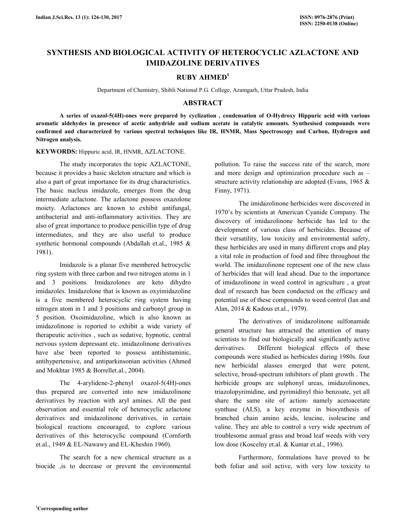# **SYNTHESIS AND BIOLOGICAL ACTIVITY OF HETEROCYCLIC AZLACTONE AND IMIDAZOLINE DERIVATIVES**

# **RUBY AHMED<sup>1</sup>**

Department of Chemistry, Shibli National P.G. College, Azamgarh, Uttar Pradesh, India

# **ABSTRACT**

 **A series of oxazol-5(4H)-ones were prepared by cyclization , condensation of O-Hydroxy Hippuric acid with various aromatic aldehydes in presence of acetic anhydride and sodium acetate in catalytic amounts. Synthesised compounds were confirmed and characterized by various spectral techniques like IR, HNMR, Mass Spectroscopy and Carbon, Hydrogen and Nitrogen analysis.** 

#### **KEYWORDS:** Hippuric acid, IR, HNMR, AZLACTONE.

 The study incorporates the topic AZLACTONE, because it provides a basic skeleton structure and which is also a part of great importance for its drug characteristics. The basic nucleus imidazole, emerges from the drug intermediate azlactone. The azlactone possess oxazolone moiety. Azlactones are known to exhibit antifungal, antibacterial and anti-inflammatory activities. They are also of great importance to produce penicillin type of drug intermediates, and they are also useful to produce synthetic hormonal compounds (Abdallah et.al., 1985 & 1981).

 Imidazole is a planar five membered hetrocyclic ring system with three carbon and two nitrogen atoms in 1 and 3 positions. Imidazolones are keto dihydro imidazoles. Imidazolone that is known as oxyimidazoline is a five membered heterocyclic ring system having nitrogen atom in 1 and 3 positions and carbonyl group in 5 position. Oxoimidazoline, which is also known as imidazolinone is reported to exhibit a wide variety of therapeutic activities , such as sedative, hypnotic, central nervous system depressant etc. imidazolinone derivatives have alse been reported to possess antihistaminic, antihypertensive, and antiparkinsonian activities (Ahmed and Mokhtar 1985 & Borrellet.al., 2004).

 The 4-arylidene-2-phenyl oxazol-5(4H)-ones thus prepared are converted into new imidazolinone derivatives by reaction with aryl amines. All the past observation and essential role of heterocyclic azlactone derivatives and imidazolinone derivatives, in certain biological reactions encouraged, to explore various derivatives of this heterocyclic compound (Cornforth et.al., 1949 & EL-Nawawy and EL-Kheshin 1960).

 The search for a new chemical structure as a biocide ,is to decrease or prevent the environmental pollution. To raise the success rate of the search, more and more design and optimization procedure such as – structure activity relationship are adopted (Evans, 1965 & Finny, 1971).

 The imidazolinone herbicides were discovered in 1970's by scientists at American Cyanide Company. The discovery of imidazolinone herbicide has led to the development of various class of herbicides. Because of their versatility, low toxicity and environmental safety, these herbicides are used in many different crops and play a vital role in production of food and fibre throughout the world. The imidazolinone represent one of the new class of herbicides that will lead ahead. Due to the importance of imidazolinone in weed control in agriculture , a great deal of research has been conducted on the efficacy and potential use of these compounds to weed control (Ian and Alan, 2014 & Kadous et.al., 1979).

 The derivatives of imidazolinone sulfonamide general structure has attracted the attention of many scientists to find out biologically and significantly active derivatives. Different biological effects of these compounds were studied as herbicides during 1980s. four new herbicidal alasses emerged that were potent, selective, broad-spectrum inhibitors of plant growth . The herbicide groups are sulphonyl ureas, imidazolinones, triazolopyrimidine, and pyrimidinyl thio benzoate, yet all share the same site of action- namely acetoacetate synthase (ALS), a key enzyme in biosynthesis of branched chain amino acids, leucine, isoleucine and valine. They are able to control a very wide spectrum of troublesome annual grass and broad leaf weeds with very low dose (Koscelny et.al. & Kumar et.al., 1996).

 Furthermore, formulations have proved to be both foliar and soil active, with very low toxicity to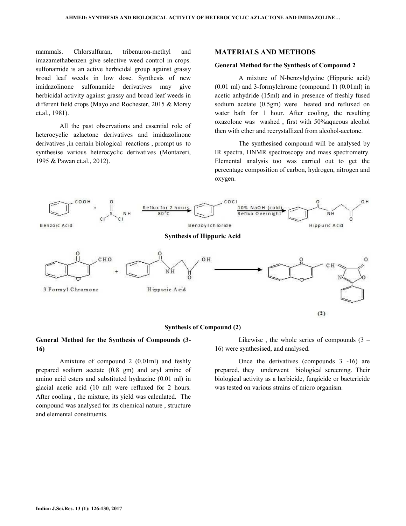mammals. Chlorsulfuran, tribenuron-methyl and imazamethabenzen give selective weed control in crops. sulfonamide is an active herbicidal group against grassy broad leaf weeds in low dose. Synthesis of new imidazolinone sulfonamide derivatives may give herbicidal activity against grassy and broad leaf weeds in different field crops (Mayo and Rochester, 2015 & Morsy et.al., 1981).

 All the past observations and essential role of heterocyclic azlactone derivatives and imidazolinone derivatives ,in certain biological reactions , prompt us to synthesise various heterocyclic derivatives (Montazeri, 1995 & Pawan et.al., 2012).

#### **MATERIALS AND METHODS**

## **General Method for the Synthesis of Compound 2**

 A mixture of N-benzylglycine (Hippuric acid) (0.01 ml) and 3-formylchrome (compound 1) (0.01ml) in acetic anhydride (15ml) and in presence of freshly fused sodium acetate (0.5gm) were heated and refluxed on water bath for 1 hour. After cooling, the resulting oxazolone was washed , first with 50%aqueous alcohol then with ether and recrystallized from alcohol-acetone.

 The synthesised compound will be analysed by IR spectra, HNMR spectroscopy and mass spectrometry. Elemental analysis too was carried out to get the percentage composition of carbon, hydrogen, nitrogen and oxygen.



## **Synthesis of Compound (2)**

## **General Method for the Synthesis of Compounds (3- 16)**

 Amixture of compound 2 (0.01ml) and feshly prepared sodium acetate (0.8 gm) and aryl amine of amino acid esters and substituted hydrazine (0.01 ml) in glacial acetic acid (10 ml) were refluxed for 2 hours. After cooling , the mixture, its yield was calculated. The compound was analysed for its chemical nature , structure and elemental constituents.

Likewise, the whole series of compounds  $(3 -$ 16) were synthesised, and analysed.

 Once the derivatives (compounds 3 -16) are prepared, they underwent biological screening. Their biological activity as a herbicide, fungicide or bactericide was tested on various strains of micro organism.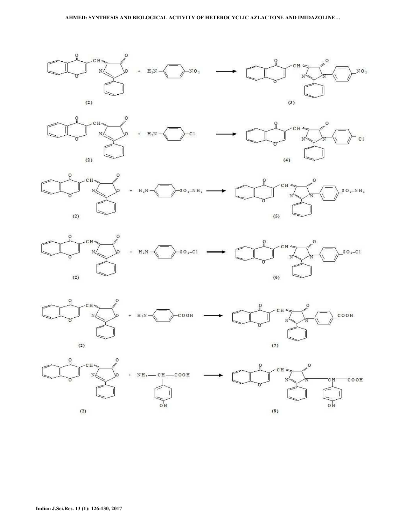#### **AHMED: SYNTHESIS AND BIOLOGICAL ACTIVITY OF HETEROCYCLIC AZLACTONE AND IMIDAZOLINE…**











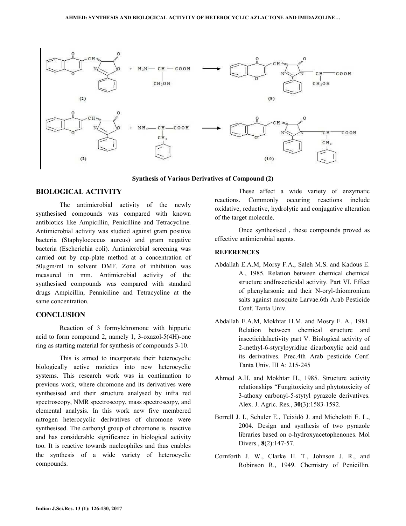

#### **Synthesis of Various Derivatives of Compound (2)**

# **BIOLOGICAL ACTIVITY**

 The antimicrobial activity of the newly synthesised compounds was compared with known antibiotics like Ampicillin, Penicilline and Tetracycline. Antimicrobial activity was studied against gram positive bacteria (Staphylococcus aureus) and gram negative bacteria (Escherichia coli). Antimicrobial screening was carried out by cup-plate method at a concentration of 50µgm/ml in solvent DMF. Zone of inhibition was measured in mm. Antimicrobial activity of the synthesised compounds was compared with standard drugs Ampicillin, Penniciline and Tetracycline at the same concentration.

# **CONCLUSION**

 Reaction of 3 formylchromone with hippuric acid to form compound 2, namely 1, 3-oxazol-5(4H)-one ring as starting material for synthesis of compounds 3-10.

 This is aimed to incorporate their heterocyclic biologically active moieties into new heterocyclic systems. This research work was in continuation to previous work, where chromone and its derivatives were synthesised and their structure analysed by infra red spectroscopy, NMR spectroscopy, mass spectroscopy, and elemental analysis. In this work new five membered nitrogen heterocyclic derivatives of chromone were synthesised. The carbonyl group of chromone is reactive and has considerable significance in biological activity too. It is reactive towards nucleophiles and thus enables the synthesis of a wide variety of heterocyclic compounds.

 These affect a wide variety of enzymatic reactions. Commonly occuring reactions include oxidative, reductive, hydrolytic and conjugative alteration of the target molecule.

 Once synthesised , these compounds proved as effective antimicrobial agents.

# **REFERENCES**

- Abdallah E.A.M, Morsy F.A., Saleh M.S. and Kadous E. A., 1985. Relation between chemical chemical structure andInsecticidal activity. Part VI. Effect of phenylarsonic and their N-oryl-thiomronium salts against mosquite Larvae.6th Arab Pesticide Conf. Tanta Univ.
- Abdallah E.A.M, Mokhtar H.M. and Mosry F. A., 1981. Relation between chemical structure and insecticidalactivity part V. Biological activity of 2-methyl-6-styrylpyridiue dicarboxylic acid and its derivatives. Prec.4th Arab pesticide Conf. Tanta Univ. III A: 215-245
- Ahmed A.H. and Mokhtar H., 1985. Structure activity relationships "Fungitoxicity and phytotoxicity of 3-athoxy carbonyl-5-stytyl pyrazole derivatives. Alex. J. Agric. Res., **30**(3):1583-1592.
- Borrell J. I., Schuler E., Teixidó J. and Michelotti E. L., 2004. Design and synthesis of two pyrazole libraries based on o-hydroxyacetophenones. Mol Divers., **8**(2):147-57.
- Cornforth J. W., Clarke H. T., Johnson J. R., and Robinson R., 1949. Chemistry of Penicillin.